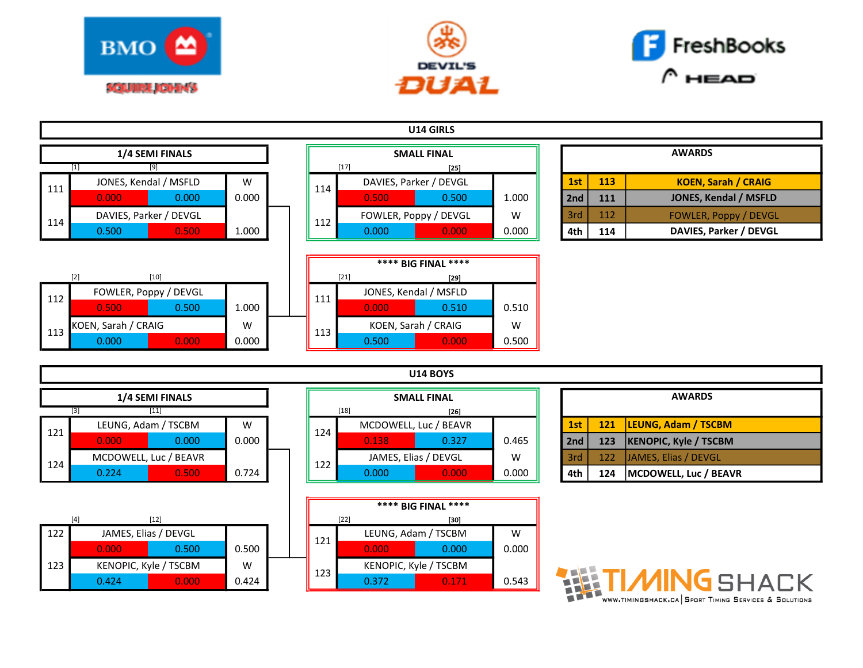





| U14 GIRLS       |                        |       |  |                    |       |                        |       |               |     |     |                              |
|-----------------|------------------------|-------|--|--------------------|-------|------------------------|-------|---------------|-----|-----|------------------------------|
| 1/4 SEMI FINALS |                        |       |  | <b>SMALL FINAL</b> |       |                        |       | <b>AWARDS</b> |     |     |                              |
|                 | $[9]$<br>$[1]$         |       |  | $[17]$<br>$[25]$   |       |                        |       |               |     |     |                              |
| 111             | JONES, Kendal / MSFLD  | W     |  | 114                |       | DAVIES, Parker / DEVGL |       |               | 1st | 113 | <b>KOEN, Sarah / CRAIG</b>   |
|                 | 0.000<br>0.000         | 0.000 |  |                    | 0.500 | 0.500                  | 1.000 |               | 2nd | 111 | <b>JONES, Kendal / MSFLD</b> |
| 114             | DAVIES, Parker / DEVGL |       |  | 112                |       | FOWLER, Poppy / DEVGL  | W     |               | 3rd | 112 | <b>FOWLER, Poppy / DEVGL</b> |
|                 | 0.500<br>0.500         | 1.000 |  |                    | 0.000 | 0.000                  | 0.000 |               | 4th | 114 | DAVIES, Parker / DEVGL       |
|                 |                        |       |  |                    |       |                        |       |               |     |     |                              |
|                 |                        |       |  |                    |       | **** BIG FINAL ****    |       |               |     |     |                              |
|                 | $[10]$<br>$[2]$        |       |  | $[21]$<br>$[29]$   |       |                        |       |               |     |     |                              |
| 112             | FOWLER, Poppy / DEVGL  |       |  | 111                |       | JONES, Kendal / MSFLD  |       |               |     |     |                              |
|                 | 0.500<br>0.500         | 1.000 |  |                    | 0.000 | 0.510                  | 0.510 |               |     |     |                              |
| 113             | KOEN, Sarah / CRAIG    | W     |  | 113                |       | KOEN, Sarah / CRAIG    | W     |               |     |     |                              |
|                 | 0.000<br>0.000         | 0.000 |  |                    | 0.500 | 0.000                  | 0.500 |               |     |     |                              |
|                 |                        |       |  |                    |       |                        |       |               |     |     |                              |
| <b>U14 BOYS</b> |                        |       |  |                    |       |                        |       |               |     |     |                              |
| 1/4 SEMI FINALS |                        |       |  | <b>SMALL FINAL</b> |       |                        |       | <b>AWARDS</b> |     |     |                              |
| $[11]$<br>$[3]$ |                        |       |  | $[18]$<br>$[26]$   |       |                        |       |               |     |     |                              |
| 121             | LEUNG, Adam / TSCBM    | W     |  | 124                |       | MCDOWELL, Luc / BEAVR  |       |               | 1st | 121 | <b>LEUNG, Adam / TSCBM</b>   |
|                 | 0.000<br>0.000         | 0.000 |  |                    | 0.138 | 0.327                  | 0.465 |               | 2nd | 123 | <b>KENOPIC, Kyle / TSCBM</b> |
| 124             | MCDOWELL, Luc / BEAVR  |       |  | 122                |       | JAMES, Elias / DEVGL   | W     |               | 3rd | 122 | JAMES, Elias / DEVGL         |
|                 | 0.224<br>0.500         | 0.724 |  |                    | 0.000 | 0.000                  | 0.000 |               | 4th | 124 | MCDOWELL, Luc / BEAVR        |

|     |       |                       |       |  |     |                     | DIY FINAL             |      |
|-----|-------|-----------------------|-------|--|-----|---------------------|-----------------------|------|
|     | ſ4    | [12]                  |       |  |     | $[22]$              | [30]                  |      |
| 122 |       | JAMES, Elias / DEVGL  |       |  | 121 | LEUNG, Adam / TSCBM |                       | W    |
|     | 0.000 | 0.500                 | 0.500 |  |     | 0.000               | 0.000                 | 0.00 |
| 123 |       | KENOPIC, Kyle / TSCBM | W     |  | 123 |                     | KENOPIC, Kyle / TSCBM |      |
|     | 0.424 | 0.000                 | 0.424 |  |     | 0.372               | 0.171                 | 0.54 |

| <b>SMALL FINAL</b> |        |                       |       |  |  |  |  |  |
|--------------------|--------|-----------------------|-------|--|--|--|--|--|
|                    | $[18]$ | $[26]$                |       |  |  |  |  |  |
| 124                |        | MCDOWELL, Luc / BEAVR |       |  |  |  |  |  |
|                    | 0.138  | 0.327                 | 0.465 |  |  |  |  |  |
| 122                |        | JAMES, Elias / DEVGL  | w     |  |  |  |  |  |
|                    | 0.000  | 0.000                 | 0.000 |  |  |  |  |  |
|                    |        |                       |       |  |  |  |  |  |

|                       |       |       |     |     |                       | **** BIG FINAL **** |       |
|-----------------------|-------|-------|-----|-----|-----------------------|---------------------|-------|
|                       | [12]  |       |     |     | $[22]$                | [30]                |       |
| JAMES, Elias / DEVGL  |       |       | 121 |     | LEUNG, Adam / TSCBM   | w                   |       |
| 0.000                 | 0.500 | 0.500 |     |     | 0.000                 | 0.000               | 0.000 |
| KENOPIC, Kyle / TSCBM |       | w     |     | 123 | KENOPIC, Kyle / TSCBM |                     |       |
| 0.424                 | 0.000 | 0.424 |     |     | 0.372                 | 0.171               | 0.543 |
|                       |       |       |     |     |                       |                     |       |

|     |     | <b>AWARDS</b>                |
|-----|-----|------------------------------|
| 1st | 121 | <b>LEUNG, Adam / TSCBM</b>   |
| 2nd | 123 | <b>KENOPIC, Kyle / TSCBM</b> |
| 3rd | 122 | JAMES, Elias / DEVGL         |
| 4th | 124 | MCDOWELL, Luc / BEAVR        |